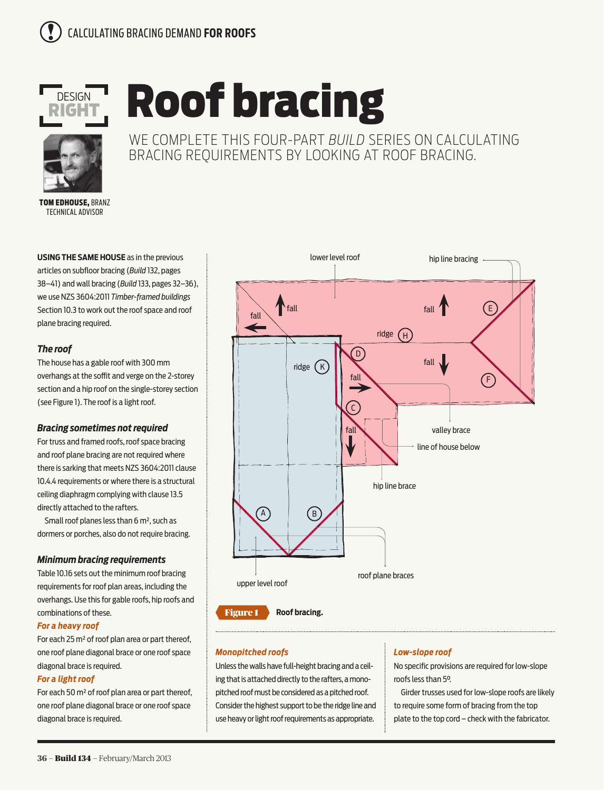

# Roof bracing



WE COMPLETE THIS FOUR-PART *BUILD* SERIES ON CALCULATING BRACING REQUIREMENTS BY LOOKING AT ROOF BRACING.

TOM EDHOUSE, BRANZ TECHNICAL ADVISOR

**USING THE SAME HOUSE** as in the previous articles on subfloor bracing (*Build* 132, pages 38–41) and wall bracing (*Build* 133, pages 32–36), we use NZS 3604:2011 *Timber-framed buildings*  Section 10.3 to work out the roof space and roof plane bracing required.

# *The roof*

The house has a gable roof with 300 mm overhangs at the soffit and verge on the 2-storey section and a hip roof on the single-storey section (see Figure 1). The roof is a light roof.

# *Bracing sometimes not required*

For truss and framed roofs, roof space bracing and roof plane bracing are not required where there is sarking that meets NZS 3604:2011 clause 10.4.4 requirements or where there is a structural ceiling diaphragm complying with clause 13.5 directly attached to the rafters.

Small roof planes less than 6 m², such as dormers or porches, also do not require bracing.

# *Minimum bracing requirements*

Table 10.16 sets out the minimum roof bracing requirements for roof plan areas, including the overhangs. Use this for gable roofs, hip roofs and combinations of these.

## *For a heavy roof*

For each 25 m² of roof plan area or part thereof, one roof plane diagonal brace or one roof space diagonal brace is required.

## *For a light roof*

For each 50 m² of roof plan area or part thereof, one roof plane diagonal brace or one roof space diagonal brace is required.





#### *Monopitched roofs*

Unless the walls have full-height bracing and a ceiling that is attached directly to the rafters, a monopitched roof must be considered as a pitched roof. Consider the highest support to be the ridge line and use heavy or light roof requirements as appropriate.

## *Low-slope roof*

No specific provisions are required for low-slope roofs less than 5°.

Girder trusses used for low-slope roofs are likely to require some form of bracing from the top plate to the top cord – check with the fabricator.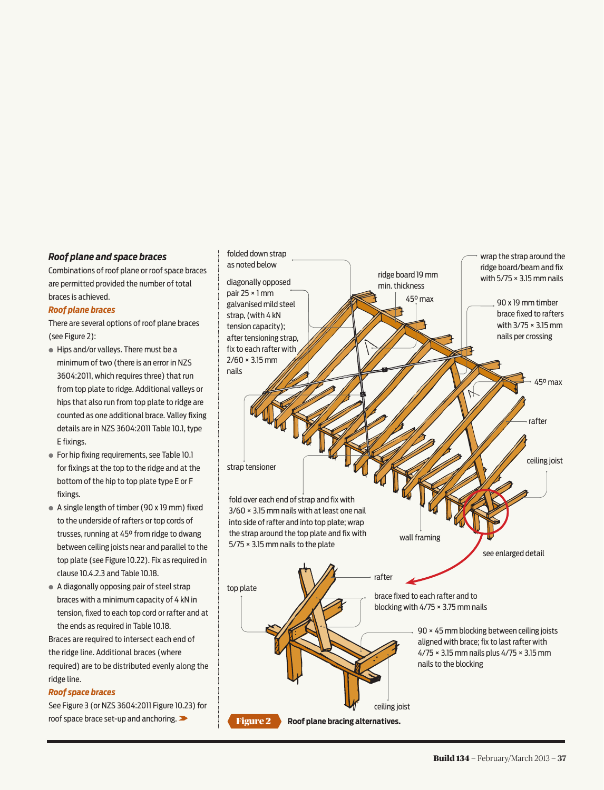## *Roof plane and space braces*

Combinations of roof plane or roof space braces are permitted provided the number of total braces is achieved.

#### *Roof plane braces*

There are several options of roof plane braces (see Figure 2):

- **●** Hips and/or valleys. There must be a minimum of two (there is an error in NZS 3604:2011, which requires three) that run from top plate to ridge. Additional valleys or hips that also run from top plate to ridge are counted as one additional brace. Valley fixing details are in NZS 3604:2011 Table 10.1, type E fixings.
- **●** For hip fixing requirements, see Table 10.1 for fixings at the top to the ridge and at the bottom of the hip to top plate type E or F fixings.
- **●** A single length of timber (90 x 19 mm) fixed to the underside of rafters or top cords of trusses, running at 45° from ridge to dwang between ceiling joists near and parallel to the top plate (see Figure 10.22). Fix as required in clause 10.4.2.3 and Table 10.18.
- **●** A diagonally opposing pair of steel strap braces with a minimum capacity of 4 kN in tension, fixed to each top cord or rafter and at the ends as required in Table 10.18. Braces are required to intersect each end of

the ridge line. Additional braces (where required) are to be distributed evenly along the ridge line.

## *Roof space braces*

See Figure 3 (or NZS 3604:2011 Figure 10.23) for